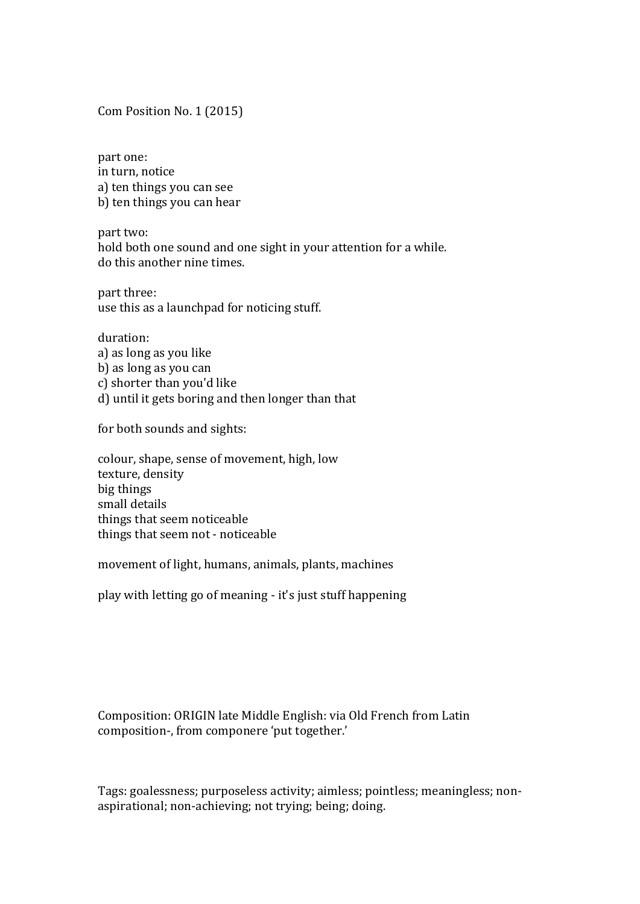Com Position No. 1 (2015)

part one: in turn, notice a) ten things you can see b) ten things you can hear

part two: hold both one sound and one sight in your attention for a while. do this another nine times.

part three: use this as a launchpad for noticing stuff.

duration: a) as long as you like b) as long as you can c) shorter than you'd like d) until it gets boring and then longer than that

for both sounds and sights:

colour, shape, sense of movement, high, low texture, density big things small details things that seem noticeable things that seem not - noticeable

movement of light, humans, animals, plants, machines

play with letting go of meaning - it's just stuff happening

Composition: ORIGIN late Middle English: via Old French from Latin composition-, from componere 'put together.'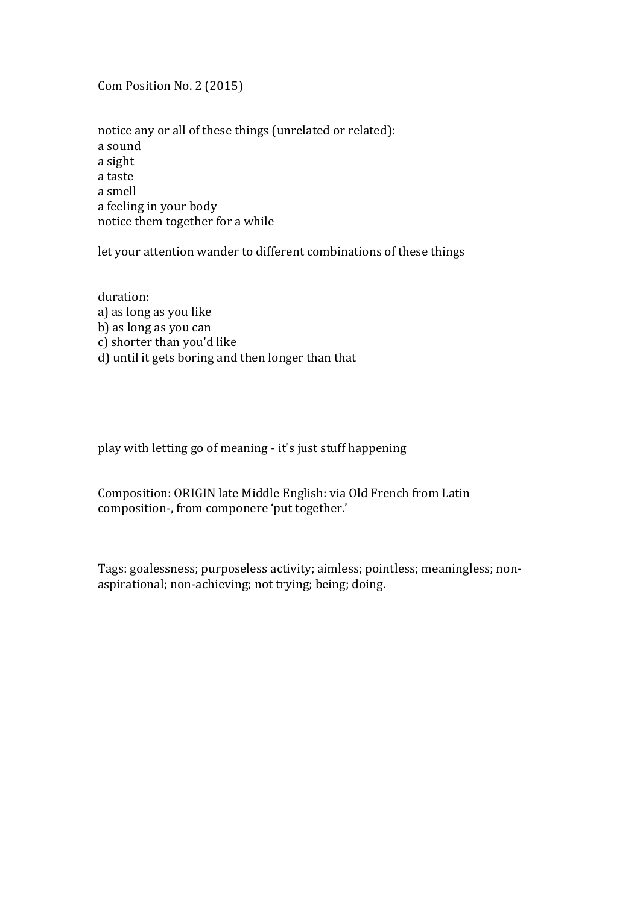Com Position No. 2 (2015)

notice any or all of these things (unrelated or related): a sound a sight a taste a smell a feeling in your body notice them together for a while

let your attention wander to different combinations of these things

duration: a) as long as you like b) as long as you can c) shorter than you'd like d) until it gets boring and then longer than that

play with letting go of meaning - it's just stuff happening

Composition: ORIGIN late Middle English: via Old French from Latin composition-, from componere 'put together.'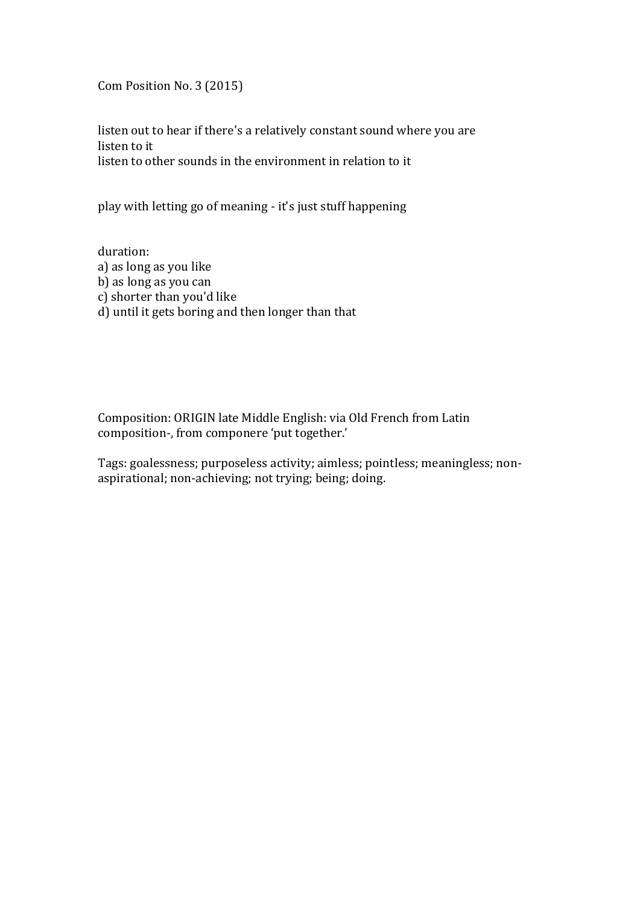Com Position No. 3 (2015)

listen out to hear if there's a relatively constant sound where you are listen to it listen to other sounds in the environment in relation to it

play with letting go of meaning - it's just stuff happening

duration: a) as long as you like b) as long as you can c) shorter than you'd like d) until it gets boring and then longer than that

Composition: ORIGIN late Middle English: via Old French from Latin composition-, from componere 'put together.'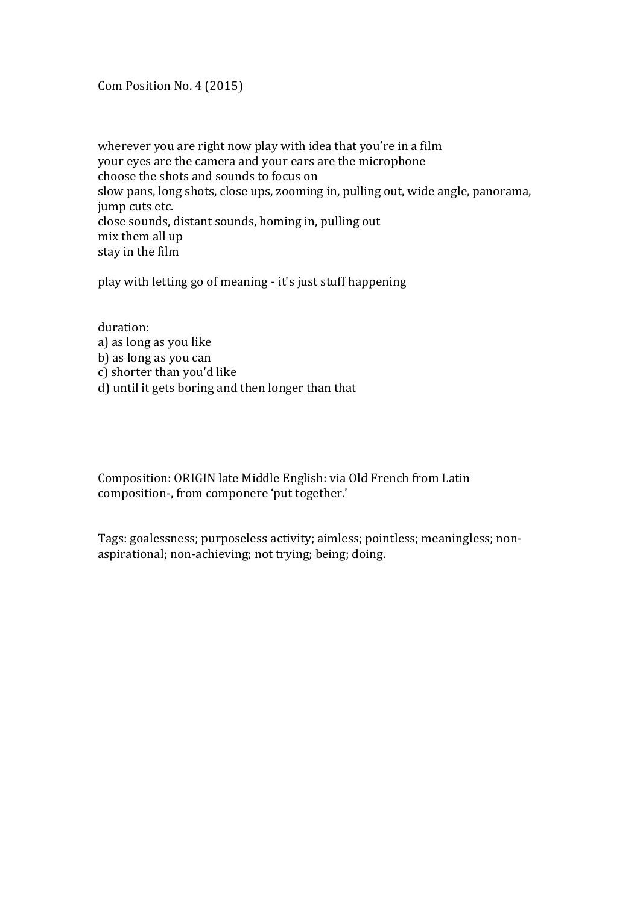Com Position No. 4 (2015)

wherever you are right now play with idea that you're in a film your eves are the camera and your ears are the microphone choose the shots and sounds to focus on slow pans, long shots, close ups, zooming in, pulling out, wide angle, panorama, jump cuts etc. close sounds, distant sounds, homing in, pulling out mix them all up stay in the film

play with letting go of meaning - it's just stuff happening

duration: a) as long as you like b) as long as you can c) shorter than you'd like d) until it gets boring and then longer than that

Composition: ORIGIN late Middle English: via Old French from Latin composition-, from componere 'put together.'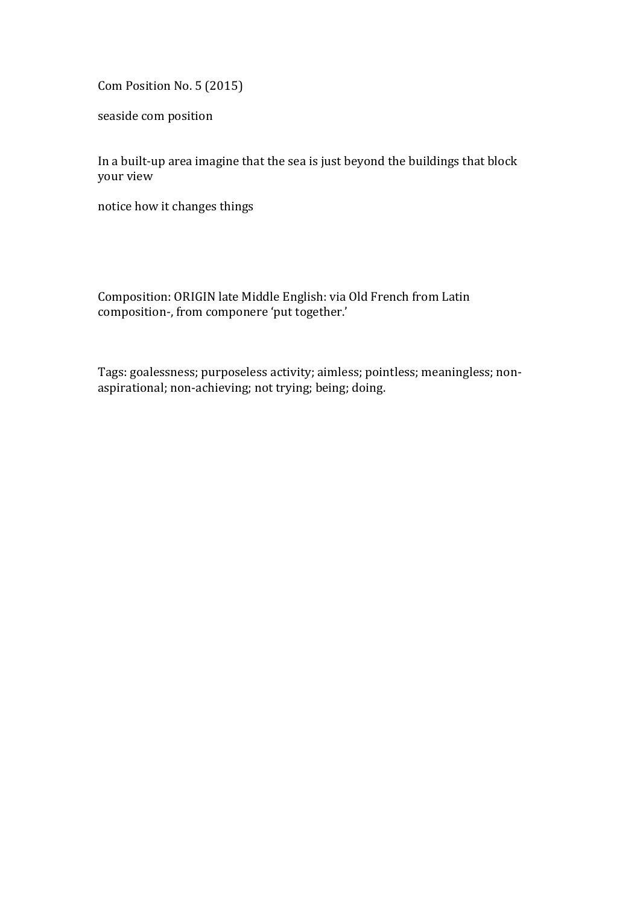Com Position No. 5 (2015)

seaside com position

In a built-up area imagine that the sea is just beyond the buildings that block your view

notice how it changes things

Composition: ORIGIN late Middle English: via Old French from Latin composition-, from componere 'put together.'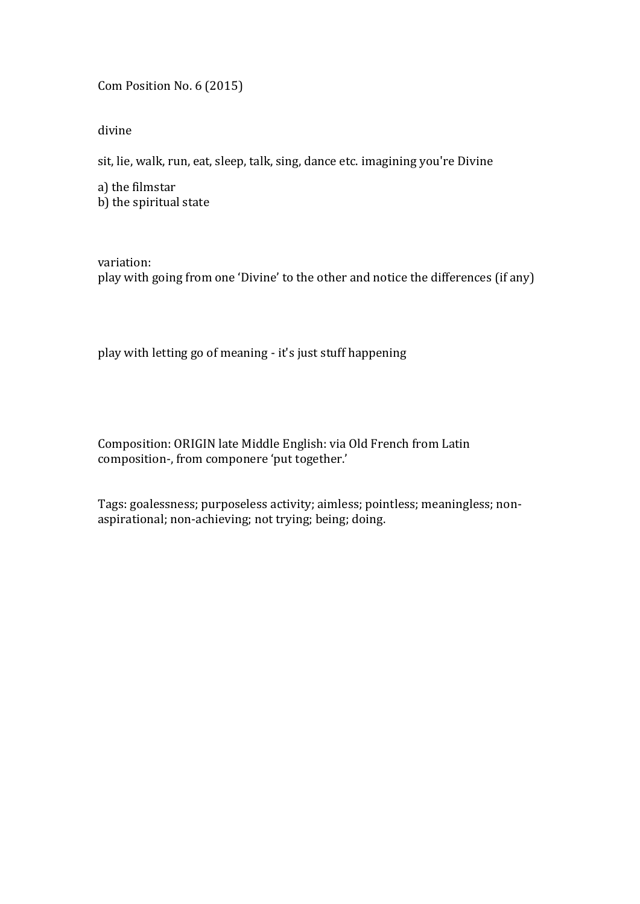Com Position No. 6 (2015)

divine

sit, lie, walk, run, eat, sleep, talk, sing, dance etc. imagining you're Divine

a) the filmstar  $\overline{b}$ ) the spiritual state

variation: play with going from one 'Divine' to the other and notice the differences (if any)

play with letting go of meaning - it's just stuff happening

Composition: ORIGIN late Middle English: via Old French from Latin composition-, from componere 'put together.'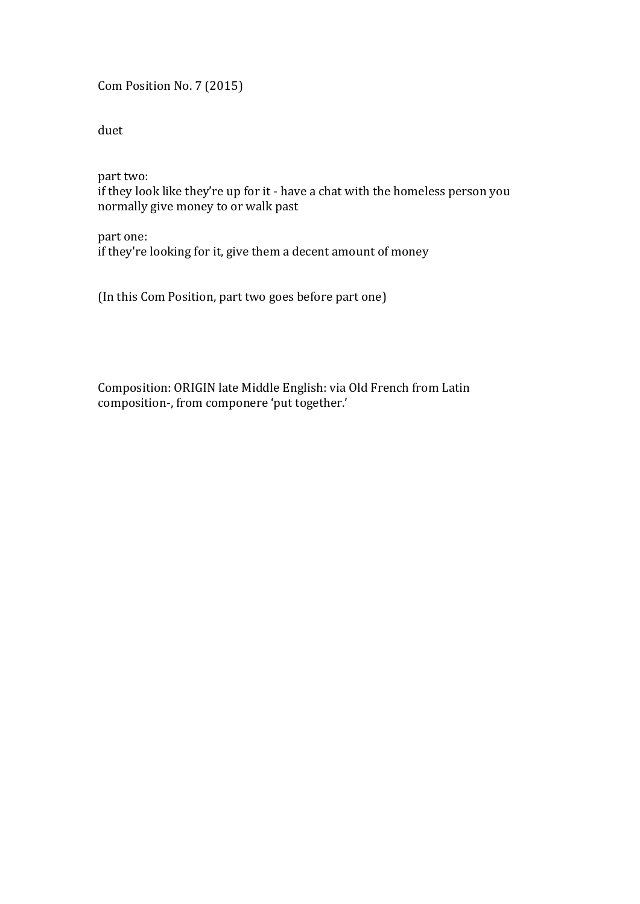Com Position No. 7 (2015)

duet

part two: if they look like they're up for it - have a chat with the homeless person you normally give money to or walk past

part one: if they're looking for it, give them a decent amount of money

(In this Com Position, part two goes before part one)

Composition: ORIGIN late Middle English: via Old French from Latin composition-, from componere 'put together.'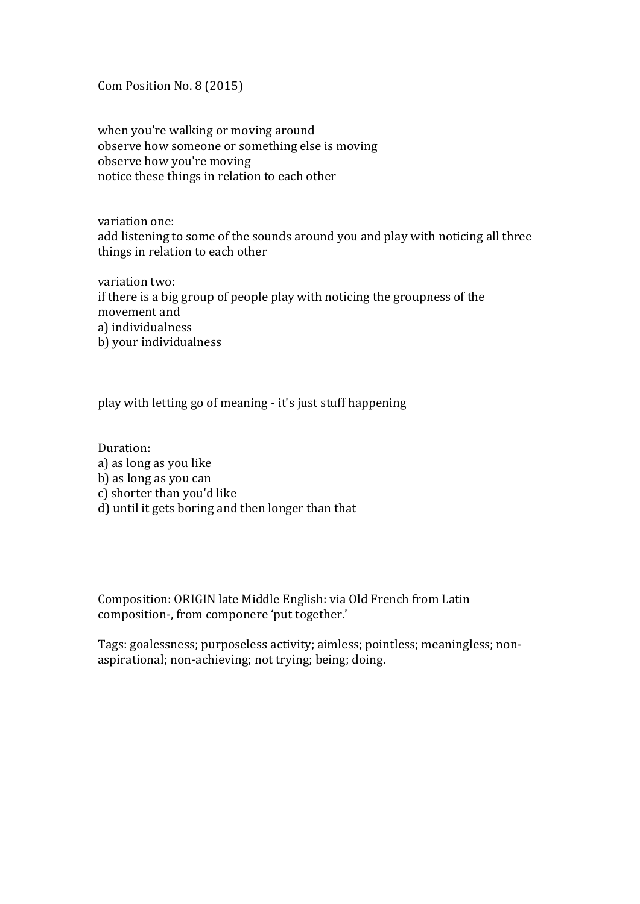Com Position No. 8 (2015)

when you're walking or moving around observe how someone or something else is moving observe how you're moving notice these things in relation to each other

variation one: add listening to some of the sounds around you and play with noticing all three things in relation to each other

variation two: if there is a big group of people play with noticing the groupness of the movement and a) individualness b) your individualness

play with letting go of meaning - it's just stuff happening

Duration: a) as long as you like b) as long as you can c) shorter than you'd like d) until it gets boring and then longer than that

Composition: ORIGIN late Middle English: via Old French from Latin composition-, from componere 'put together.'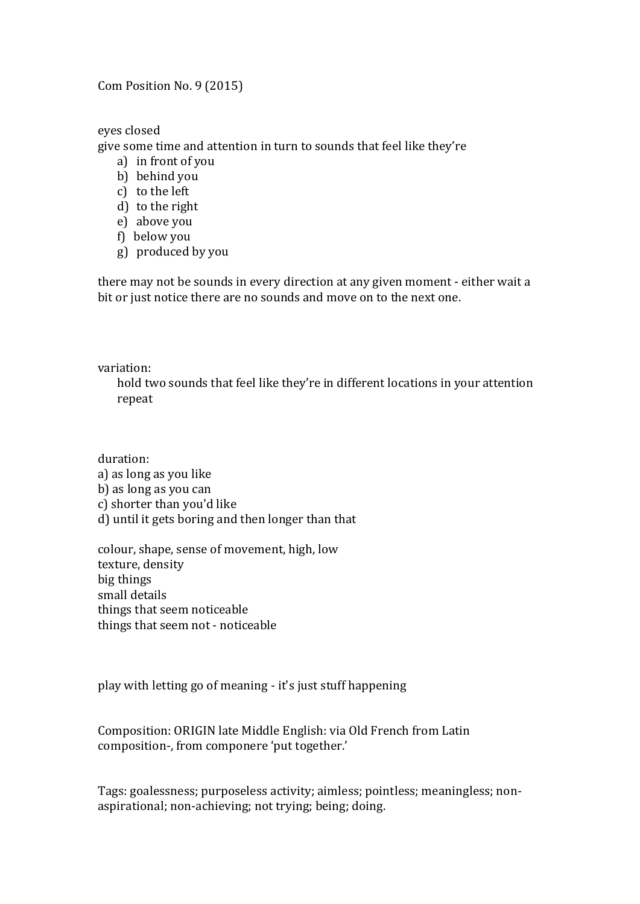Com Position No. 9 (2015)

eyes closed

give some time and attention in turn to sounds that feel like they're

- a) in front of you
- b) behind you
- c) to the left
- d) to the right
- e) above you
- f) below you
- g) produced by you

there may not be sounds in every direction at any given moment - either wait a bit or just notice there are no sounds and move on to the next one.

variation:

hold two sounds that feel like they're in different locations in your attention repeat

duration:

- a) as long as you like
- b) as long as you can
- c) shorter than you'd like
- d) until it gets boring and then longer than that

colour, shape, sense of movement, high, low texture, density big things small details things that seem noticeable things that seem not - noticeable

play with letting go of meaning - it's just stuff happening

Composition: ORIGIN late Middle English: via Old French from Latin composition-, from componere 'put together.'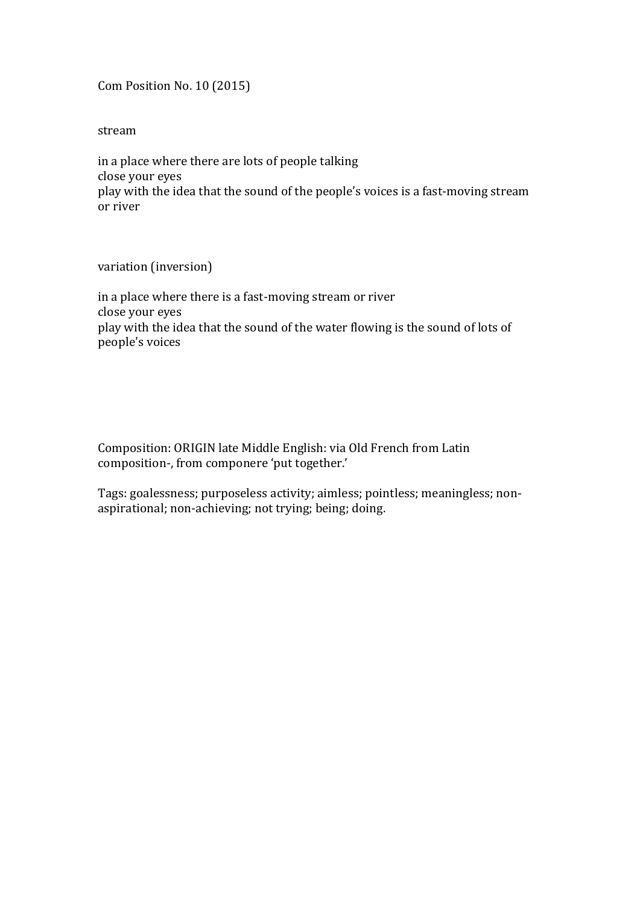Com Position No. 10 (2015)

stream

in a place where there are lots of people talking close your eyes play with the idea that the sound of the people's voices is a fast-moving stream or river

variation (inversion)

in a place where there is a fast-moving stream or river close your eyes play with the idea that the sound of the water flowing is the sound of lots of people's voices

Composition: ORIGIN late Middle English: via Old French from Latin composition-, from componere 'put together.'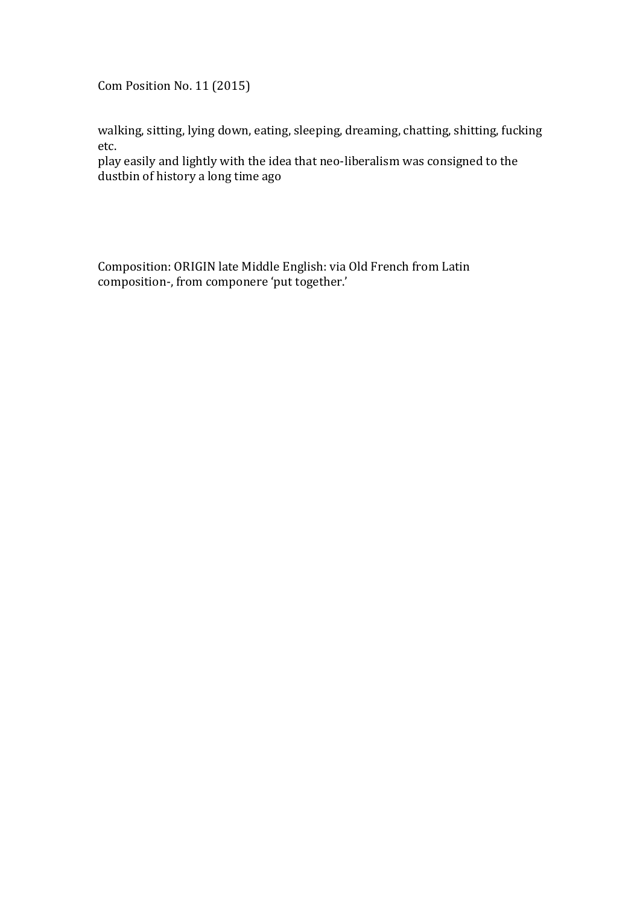Com Position No. 11 (2015)

walking, sitting, lying down, eating, sleeping, dreaming, chatting, shitting, fucking etc.

play easily and lightly with the idea that neo-liberalism was consigned to the dustbin of history a long time ago

Composition: ORIGIN late Middle English: via Old French from Latin composition-, from componere 'put together.'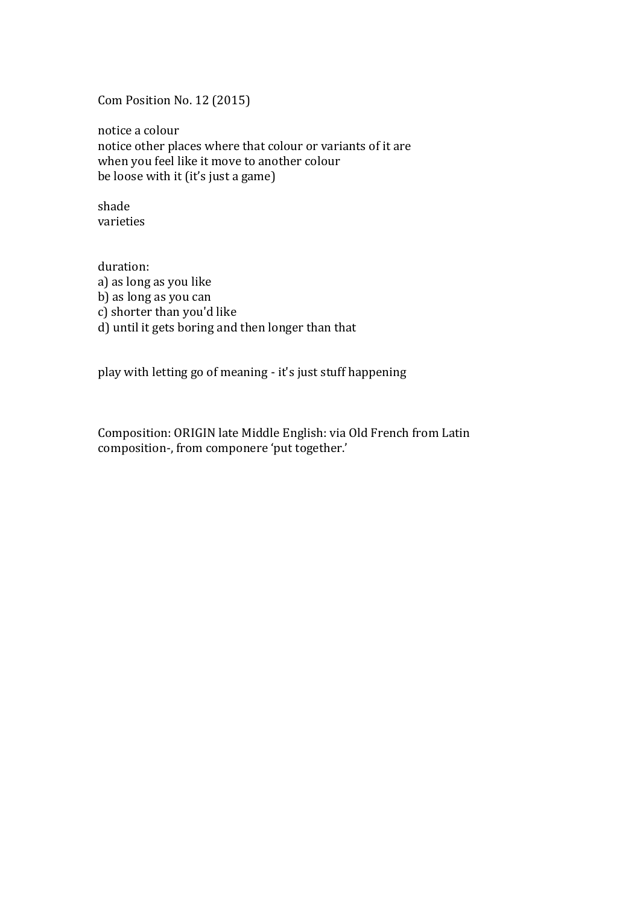Com Position No. 12 (2015)

notice a colour notice other places where that colour or variants of it are when you feel like it move to another colour be loose with it (it's just a game)

shade varieties

duration: a) as long as you like b) as long as you can c) shorter than you'd like d) until it gets boring and then longer than that

play with letting go of meaning - it's just stuff happening

Composition: ORIGIN late Middle English: via Old French from Latin composition-, from componere 'put together.'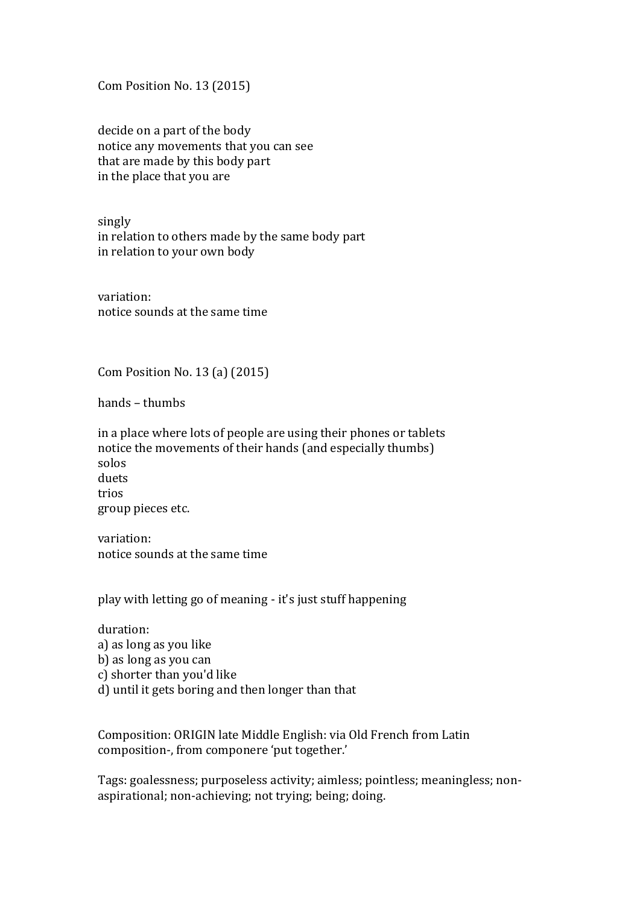Com Position No. 13 (2015)

decide on a part of the body notice any movements that you can see that are made by this body part in the place that you are

singly in relation to others made by the same body part in relation to your own body

variation: notice sounds at the same time

Com Position No. 13 $(a)$  $(2015)$ 

hands – thumbs

in a place where lots of people are using their phones or tablets notice the movements of their hands (and especially thumbs) solos duets trios group pieces etc.

variation: notice sounds at the same time

play with letting go of meaning - it's just stuff happening

duration: a) as long as you like b) as long as you can c) shorter than you'd like d) until it gets boring and then longer than that

Composition: ORIGIN late Middle English: via Old French from Latin composition-, from componere 'put together.'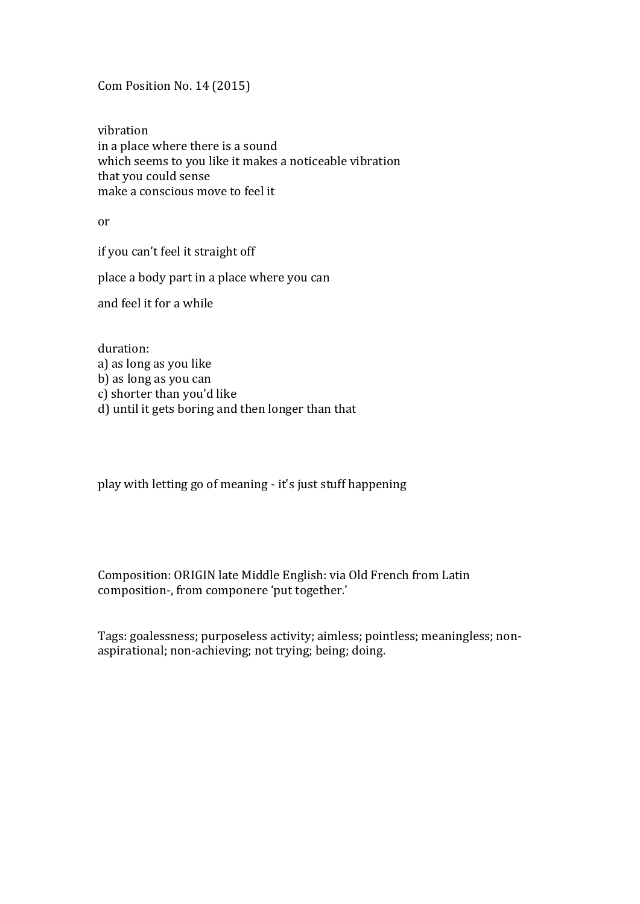Com Position No. 14 (2015)

vibration in a place where there is a sound which seems to you like it makes a noticeable vibration that you could sense make a conscious move to feel it

or

if you can't feel it straight off

place a body part in a place where you can

and feel it for a while

duration: a) as long as you like b) as long as you can c) shorter than you'd like d) until it gets boring and then longer than that

play with letting go of meaning - it's just stuff happening

Composition: ORIGIN late Middle English: via Old French from Latin composition-, from componere 'put together.'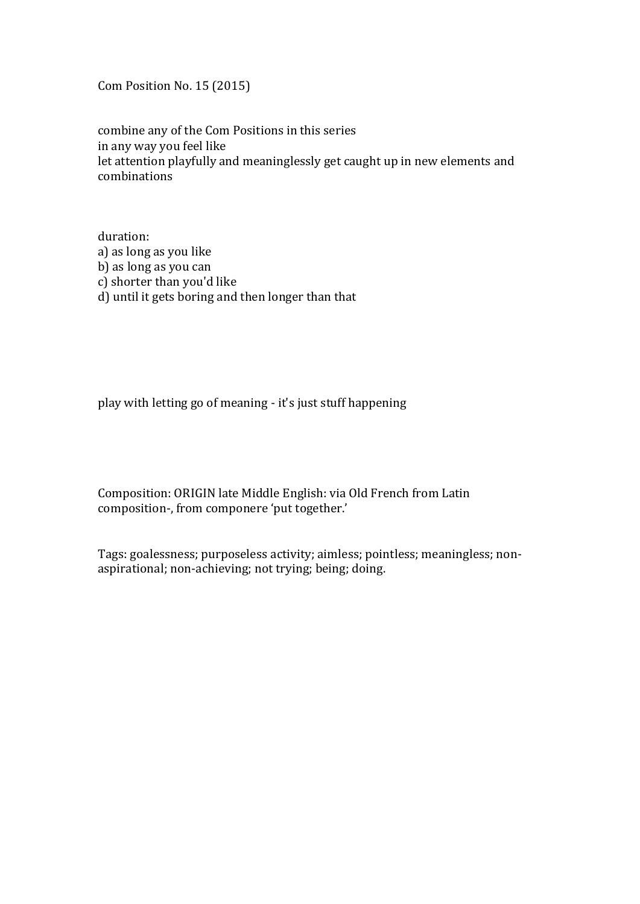Com Position No. 15 (2015)

combine any of the Com Positions in this series in any way you feel like let attention playfully and meaninglessly get caught up in new elements and combinations

duration: a) as long as you like b) as long as you can c) shorter than you'd like d) until it gets boring and then longer than that

play with letting go of meaning - it's just stuff happening

Composition: ORIGIN late Middle English: via Old French from Latin composition-, from componere 'put together.'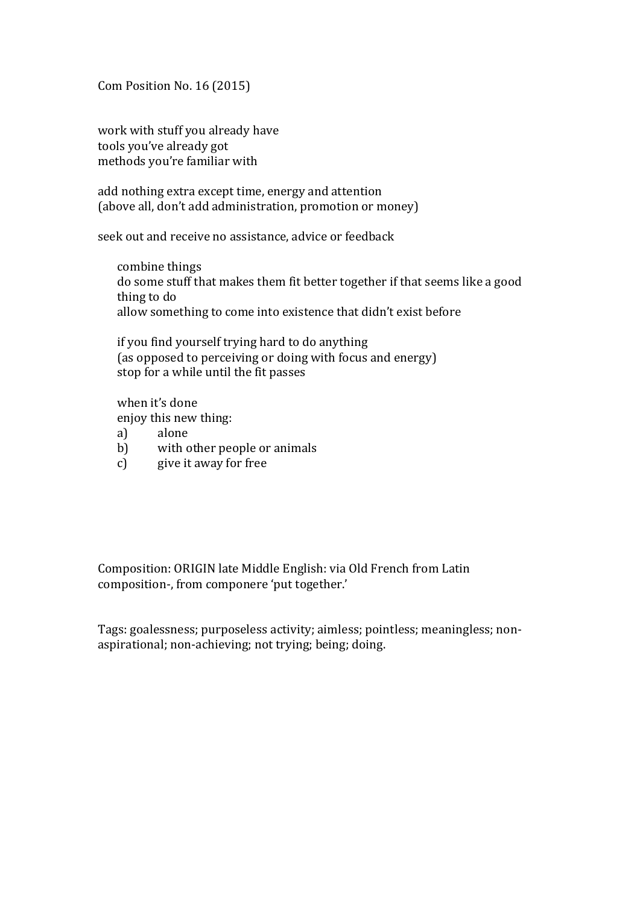Com Position No. 16 (2015)

work with stuff you already have tools you've already got methods you're familiar with

add nothing extra except time, energy and attention (above all, don't add administration, promotion or money)

seek out and receive no assistance, advice or feedback

combine things do some stuff that makes them fit better together if that seems like a good thing to do allow something to come into existence that didn't exist before

if you find yourself trying hard to do anything (as opposed to perceiving or doing with focus and energy) stop for a while until the fit passes

when it's done enjoy this new thing:

- a) alone
- b) with other people or animals
- c) give it away for free

Composition: ORIGIN late Middle English: via Old French from Latin composition-, from componere 'put together.'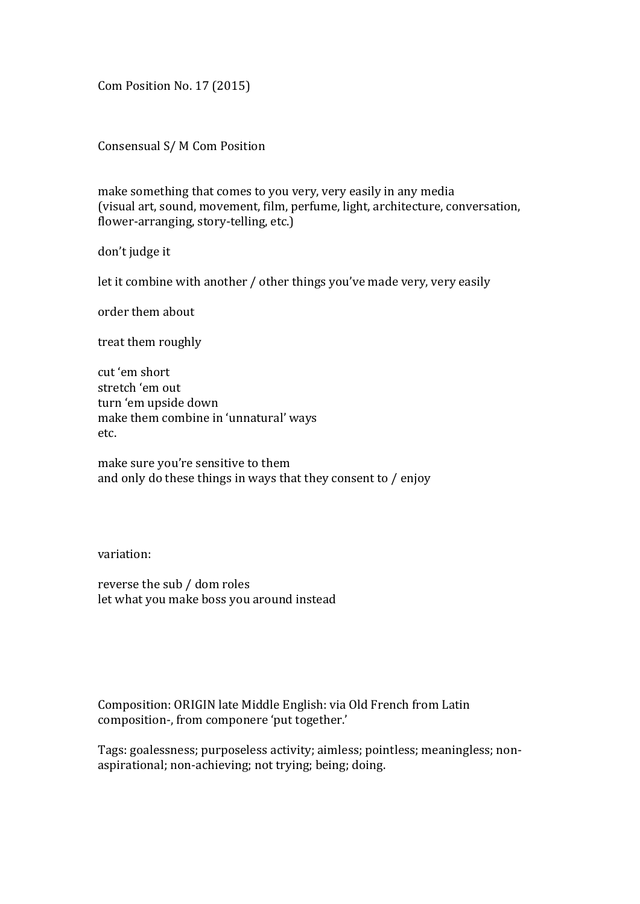Com Position No. 17 (2015)

Consensual S/ M Com Position

make something that comes to you very, very easily in any media (visual art, sound, movement, film, perfume, light, architecture, conversation, flower-arranging, story-telling, etc.)

don't judge it

let it combine with another / other things you've made very, very easily

order them about

treat them roughly

cut 'em short stretch 'em out turn 'em upside down make them combine in 'unnatural' ways etc.

make sure you're sensitive to them and only do these things in ways that they consent to  $/$  enjoy

variation:

reverse the sub / dom roles let what you make boss you around instead

Composition: ORIGIN late Middle English: via Old French from Latin composition-, from componere 'put together.'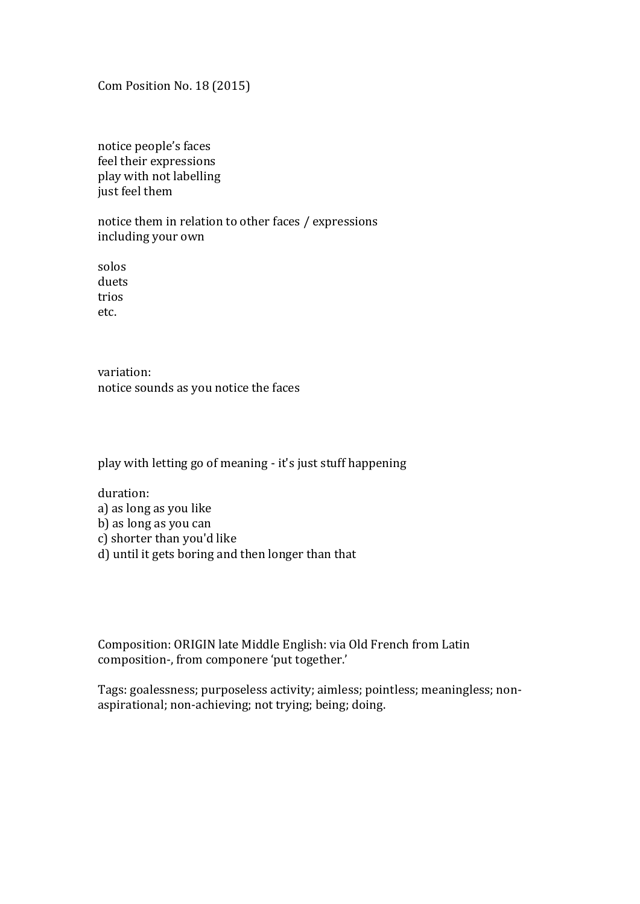Com Position No. 18 (2015)

notice people's faces feel their expressions play with not labelling just feel them

notice them in relation to other faces / expressions including your own

solos duets trios etc.

variation: notice sounds as you notice the faces

play with letting go of meaning - it's just stuff happening

duration: a) as long as you like b) as long as you can c) shorter than you'd like d) until it gets boring and then longer than that

Composition: ORIGIN late Middle English: via Old French from Latin composition-, from componere 'put together.'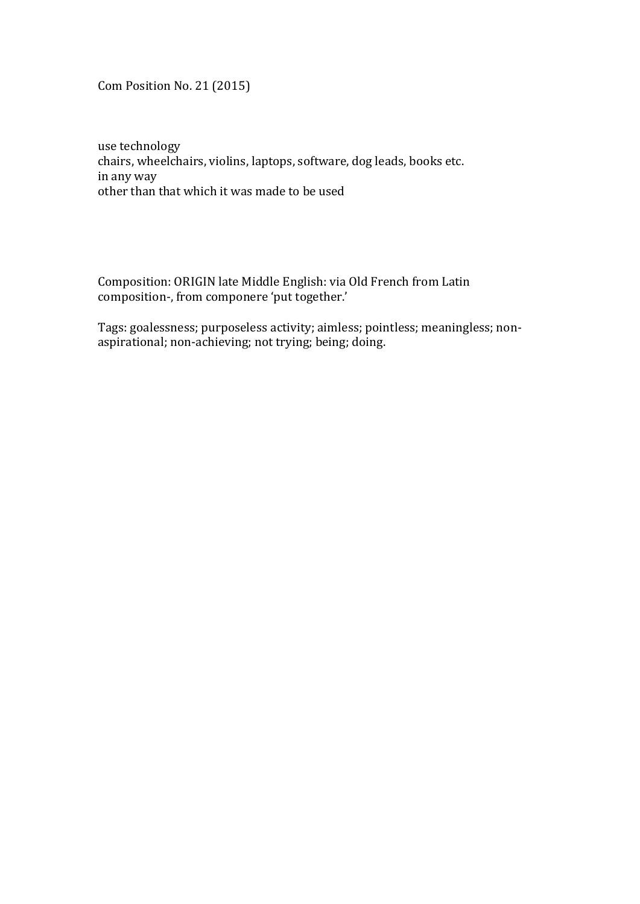Com Position No. 21 (2015)

use technology chairs, wheelchairs, violins, laptops, software, dog leads, books etc. in any way other than that which it was made to be used

Composition: ORIGIN late Middle English: via Old French from Latin composition-, from componere 'put together.'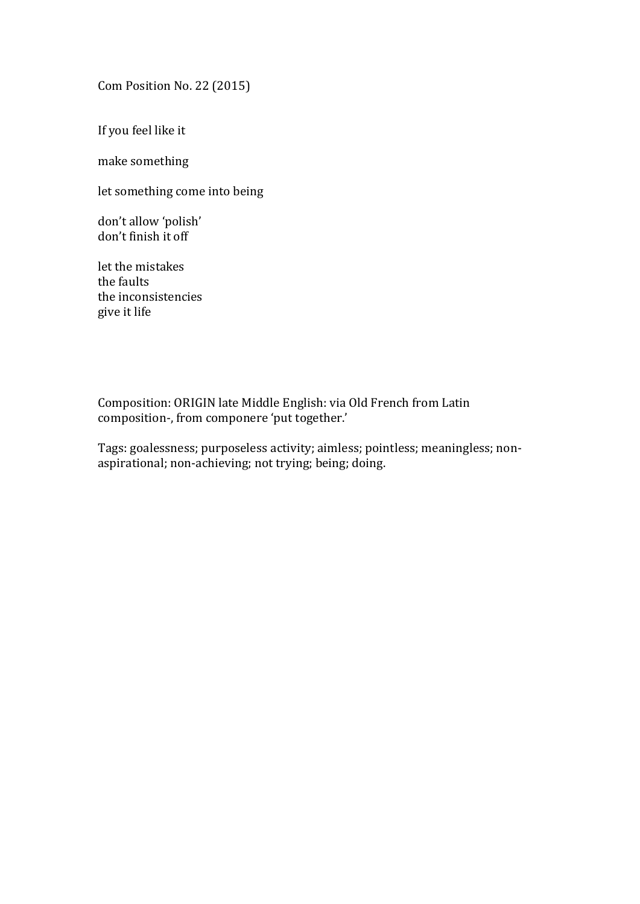Com Position No. 22 (2015)

If you feel like it

make something

let something come into being

don't allow 'polish' don't finish it off

let the mistakes the faults the inconsistencies give it life

Composition: ORIGIN late Middle English: via Old French from Latin composition-, from componere 'put together.'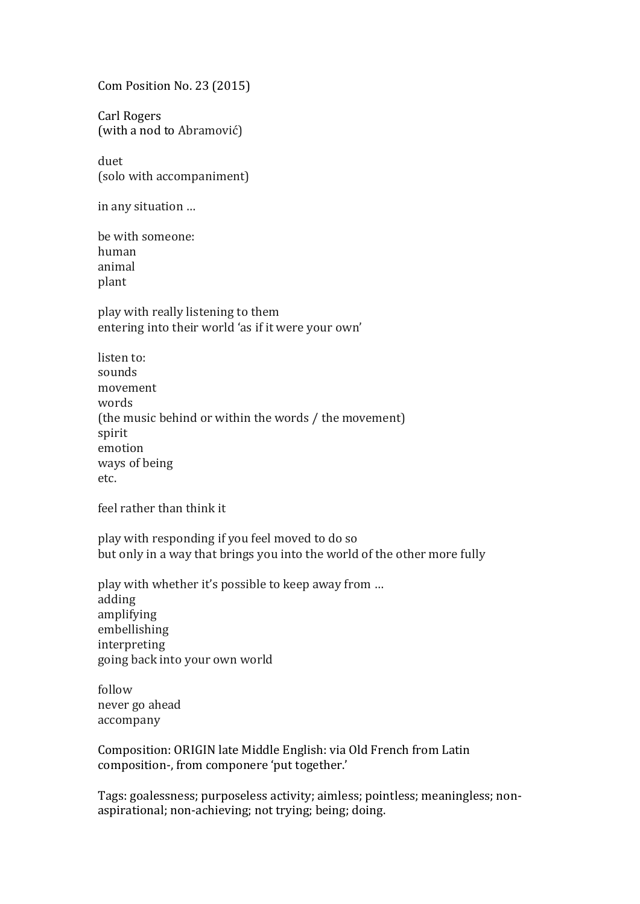Com Position No. 23 (2015)

Carl Rogers (with a nod to Abramović)

duet (solo with accompaniment)

in any situation ...

be with someone: human animal plant

play with really listening to them entering into their world 'as if it were your own'

listen to: sounds movement words (the music behind or within the words / the movement) spirit emotion ways of being etc.

feel rather than think it

play with responding if you feel moved to do so but only in a way that brings you into the world of the other more fully

play with whether it's possible to keep away from ... adding amplifying embellishing interpreting going back into your own world

follow never go ahead accompany

Composition: ORIGIN late Middle English: via Old French from Latin composition-, from componere 'put together.'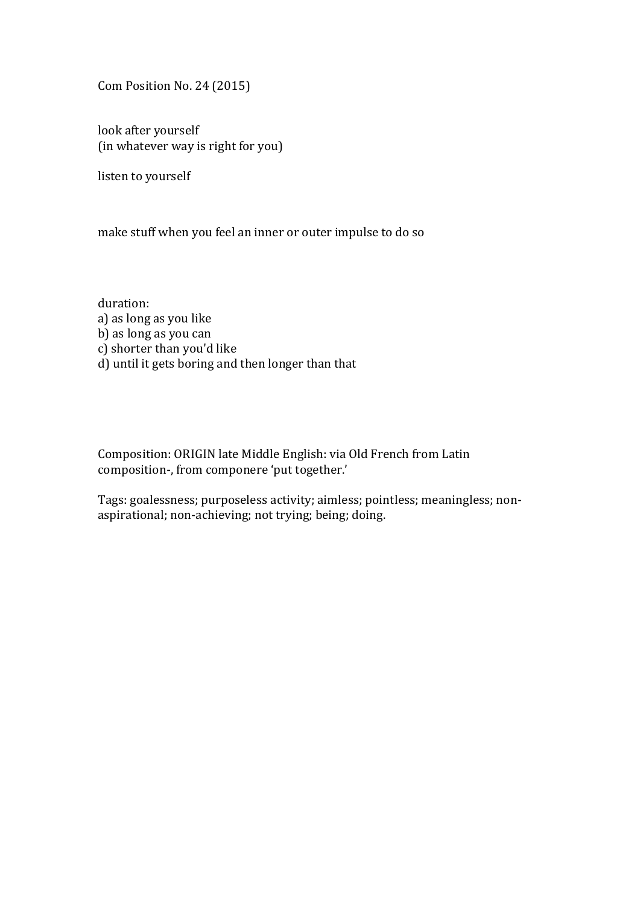Com Position No. 24 (2015)

look after yourself (in whatever way is right for you)

listen to yourself

make stuff when you feel an inner or outer impulse to do so

duration: a) as long as you like b) as long as you can c) shorter than you'd like d) until it gets boring and then longer than that

Composition: ORIGIN late Middle English: via Old French from Latin composition-, from componere 'put together.'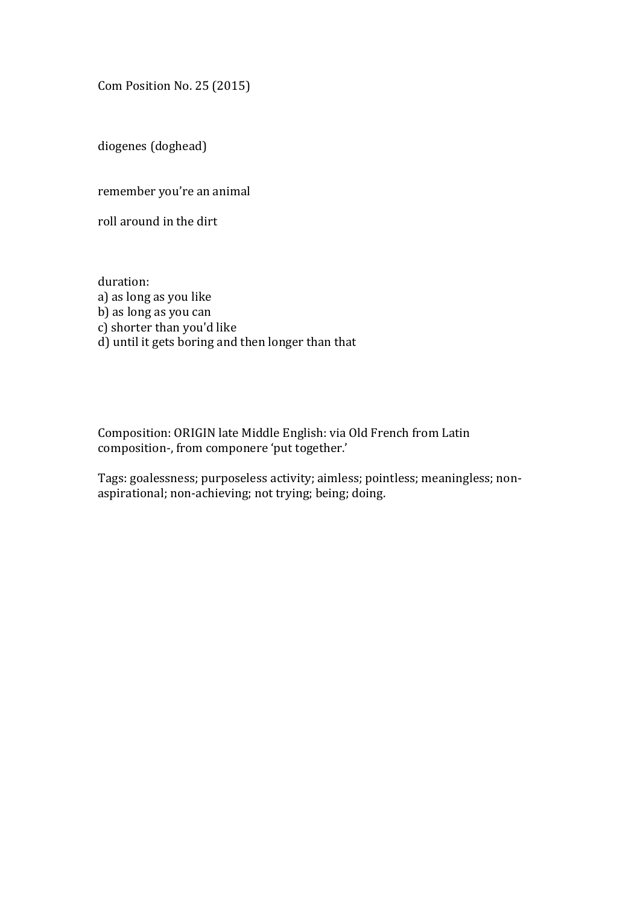Com Position No. 25 (2015)

diogenes (doghead)

remember you're an animal

roll around in the dirt

duration: a) as long as you like b) as long as you can c) shorter than you'd like d) until it gets boring and then longer than that

Composition: ORIGIN late Middle English: via Old French from Latin composition-, from componere 'put together.'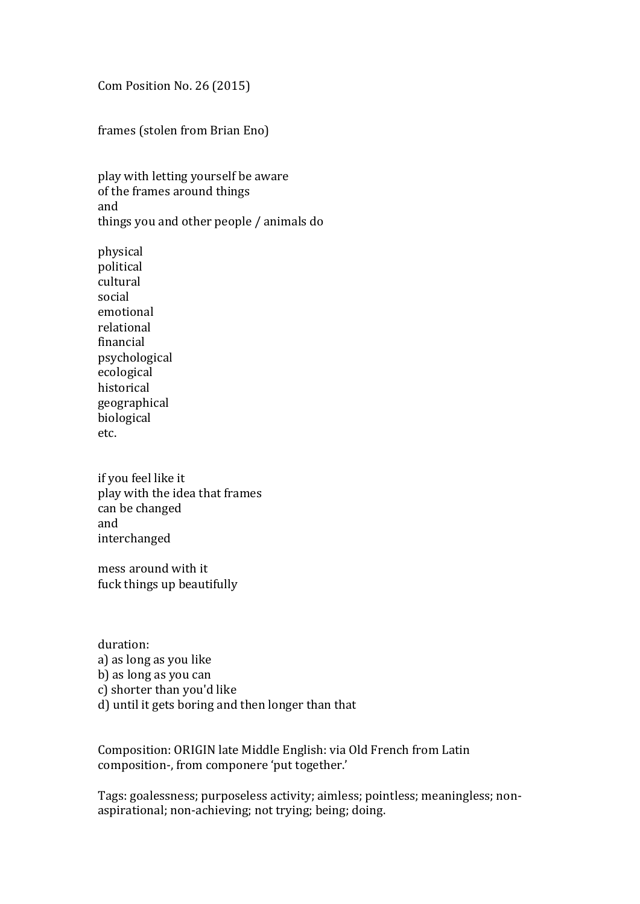Com Position No. 26 (2015)

frames (stolen from Brian Eno)

play with letting yourself be aware of the frames around things and things you and other people / animals do

physical political cultural social emotional relational financial psychological ecological historical geographical biological etc.

if you feel like it play with the idea that frames can be changed and interchanged

mess around with it fuck things up beautifully

duration: a) as long as you like b) as long as you can c) shorter than you'd like d) until it gets boring and then longer than that

Composition: ORIGIN late Middle English: via Old French from Latin composition-, from componere 'put together.'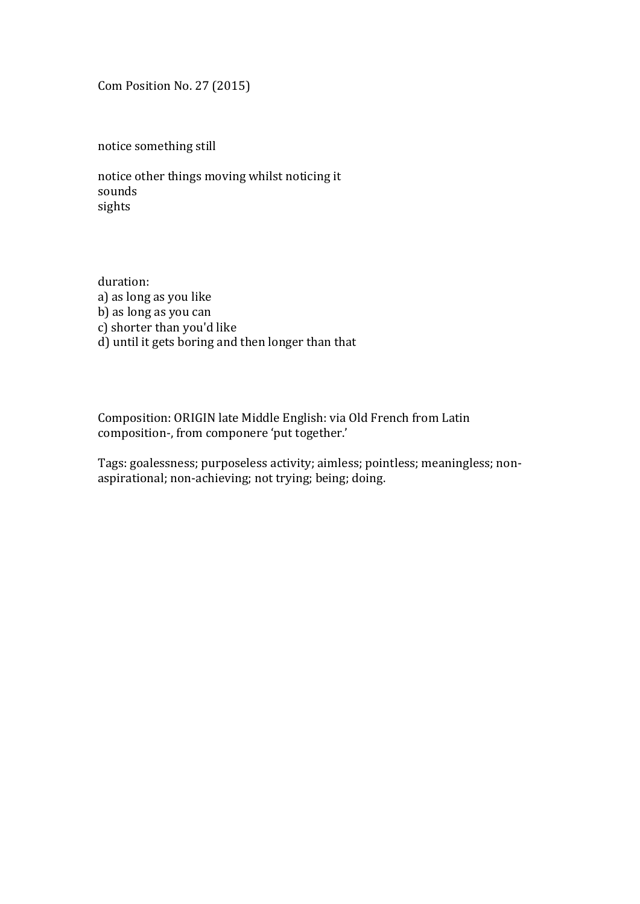Com Position No. 27 (2015)

notice something still

notice other things moving whilst noticing it sounds sights

duration: a) as long as you like b) as long as you can c) shorter than you'd like d) until it gets boring and then longer than that

Composition: ORIGIN late Middle English: via Old French from Latin composition-, from componere 'put together.'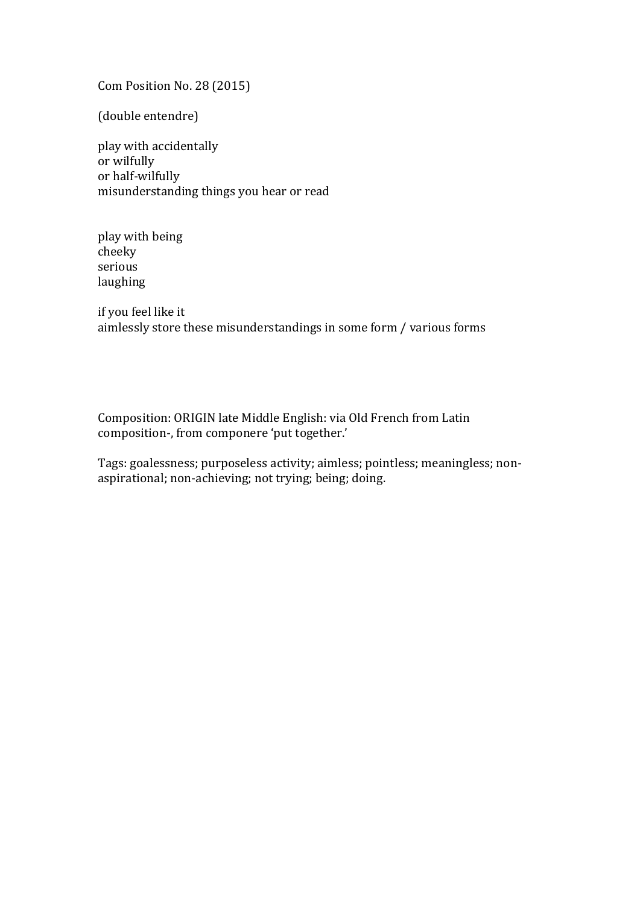Com Position No. 28 (2015)

(double entendre)

play with accidentally or wilfully or half-wilfully misunderstanding things you hear or read

play with being cheeky serious laughing

if you feel like it aimlessly store these misunderstandings in some form / various forms

Composition: ORIGIN late Middle English: via Old French from Latin composition-, from componere 'put together.'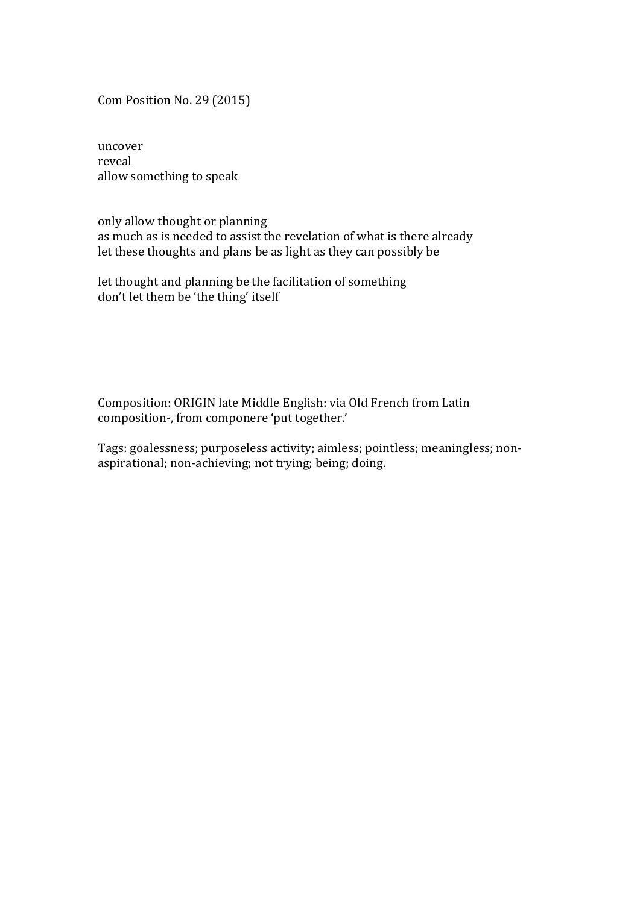Com Position No. 29 (2015)

uncover reveal allow something to speak

only allow thought or planning as much as is needed to assist the revelation of what is there already let these thoughts and plans be as light as they can possibly be

let thought and planning be the facilitation of something don't let them be 'the thing' itself

Composition: ORIGIN late Middle English: via Old French from Latin composition-, from componere 'put together.'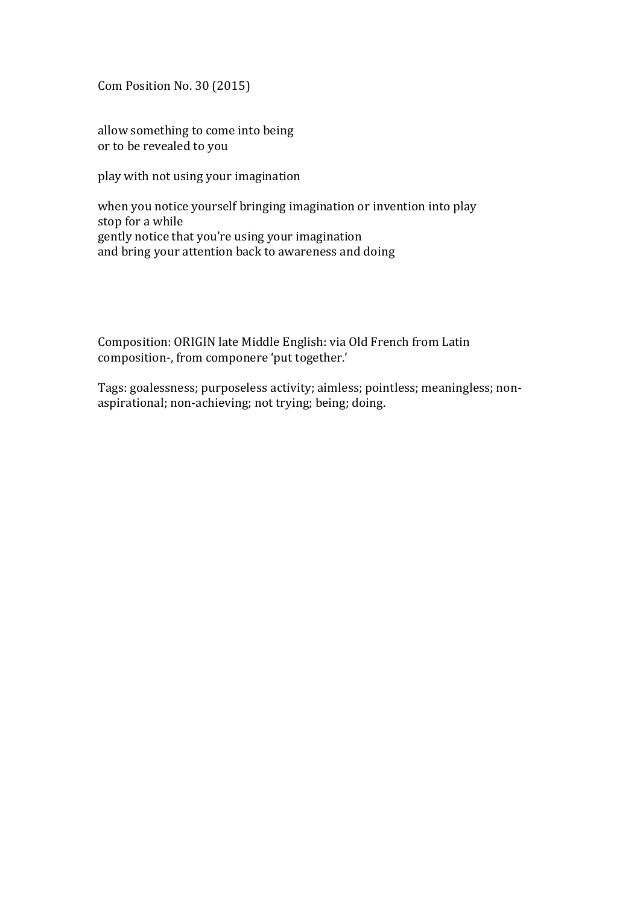Com Position No. 30 (2015)

allow something to come into being or to be revealed to you

play with not using your imagination

when you notice yourself bringing imagination or invention into play stop for a while gently notice that you're using your imagination and bring your attention back to awareness and doing

Composition: ORIGIN late Middle English: via Old French from Latin composition-, from componere 'put together.'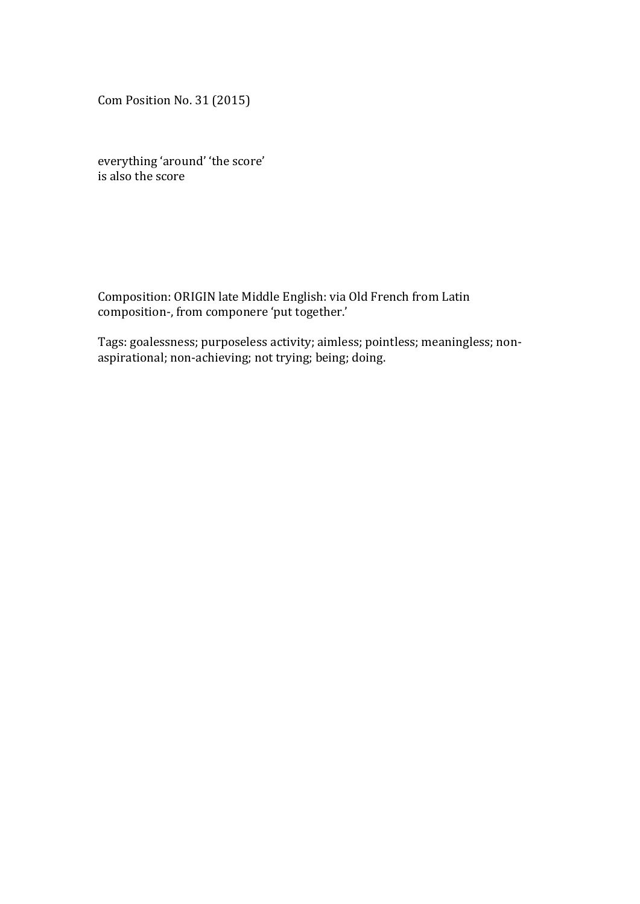Com Position No. 31 (2015)

everything 'around' 'the score'  $\overline{\phantom{a}}$  is also the score

Composition: ORIGIN late Middle English: via Old French from Latin composition-, from componere 'put together.'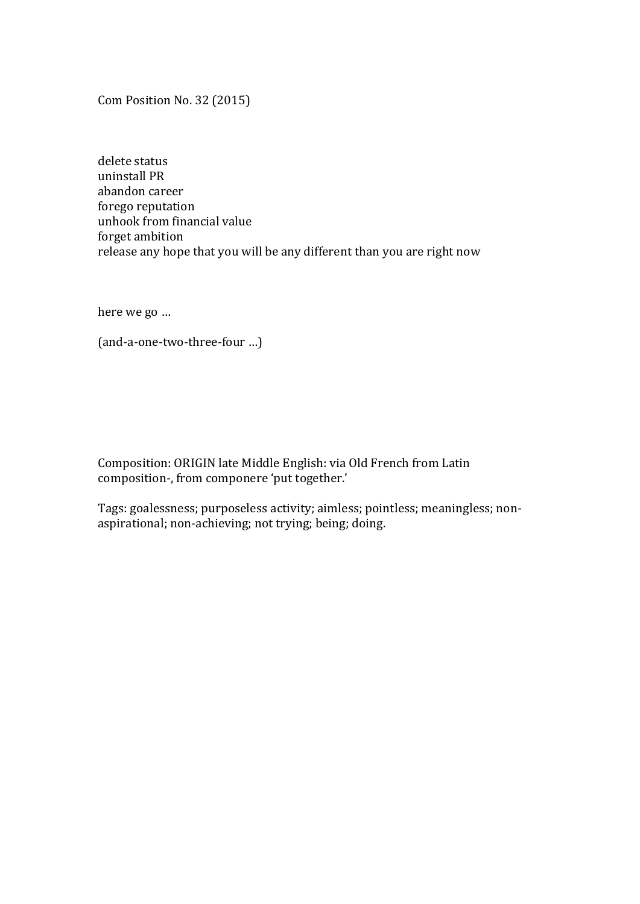Com Position No. 32 (2015)

delete status uninstall PR abandon career forego reputation unhook from financial value forget ambition release any hope that you will be any different than you are right now

here we go ...

(and-a-one-two-three-four …)

Composition: ORIGIN late Middle English: via Old French from Latin composition-, from componere 'put together.'